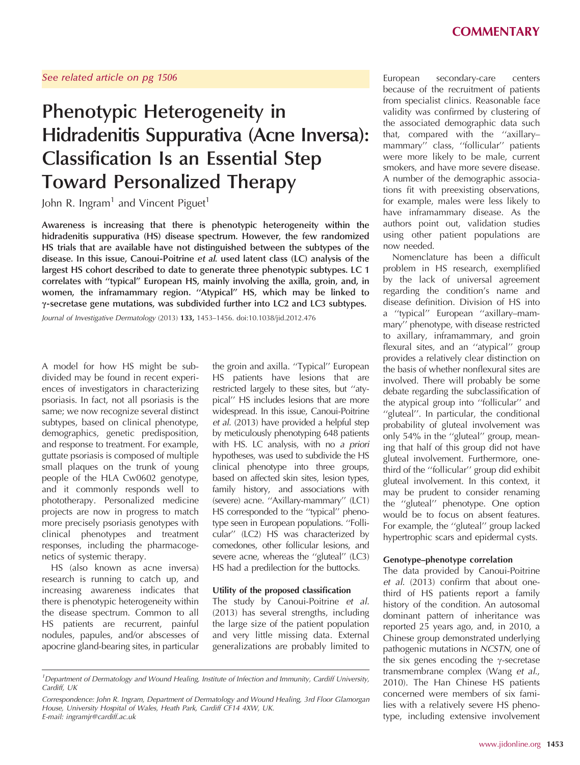# Phenotypic Heterogeneity in Hidradenitis Suppurativa (Acne Inversa): Classification Is an Essential Step Toward Personalized Therapy

John R. Ingram<sup>1</sup> and Vincent Piguet<sup>1</sup>

Awareness is increasing that there is phenotypic heterogeneity within the hidradenitis suppurativa (HS) disease spectrum. However, the few randomized HS trials that are available have not distinguished between the subtypes of the disease. In this issue, Canoui-Poitrine et al. used latent class (LC) analysis of the largest HS cohort described to date to generate three phenotypic subtypes. LC 1 correlates with ''typical'' European HS, mainly involving the axilla, groin, and, in women, the inframammary region. ''Atypical'' HS, which may be linked to  $\gamma$ -secretase gene mutations, was subdivided further into LC2 and LC3 subtypes.

Journal of Investigative Dermatology (2013) 133, 1453–1456. doi:10.1038/jid.2012.476

A model for how HS might be subdivided may be found in recent experiences of investigators in characterizing psoriasis. In fact, not all psoriasis is the same; we now recognize several distinct subtypes, based on clinical phenotype, demographics, genetic predisposition, and response to treatment. For example, guttate psoriasis is composed of multiple small plaques on the trunk of young people of the HLA Cw0602 genotype, and it commonly responds well to phototherapy. Personalized medicine projects are now in progress to match more precisely psoriasis genotypes with clinical phenotypes and treatment responses, including the pharmacogenetics of systemic therapy.

HS (also known as acne inversa) research is running to catch up, and increasing awareness indicates that there is phenotypic heterogeneity within the disease spectrum. Common to all HS patients are recurrent, painful nodules, papules, and/or abscesses of apocrine gland-bearing sites, in particular

the groin and axilla. ''Typical'' European HS patients have lesions that are restricted largely to these sites, but ''atypical'' HS includes lesions that are more widespread. In this issue, Canoui-Poitrine et al. (2013) have provided a helpful step by meticulously phenotyping 648 patients with HS. LC analysis, with no a priori hypotheses, was used to subdivide the HS clinical phenotype into three groups, based on affected skin sites, lesion types, family history, and associations with (severe) acne. ''Axillary-mammary'' (LC1) HS corresponded to the ''typical'' phenotype seen in European populations. ''Follicular'' (LC2) HS was characterized by comedones, other follicular lesions, and severe acne, whereas the ''gluteal'' (LC3) HS had a predilection for the buttocks.

#### Utility of the proposed classification

The study by Canoui-Poitrine et al. (2013) has several strengths, including the large size of the patient population and very little missing data. External generalizations are probably limited to because of the recruitment of patients from specialist clinics. Reasonable face validity was confirmed by clustering of the associated demographic data such that, compared with the ''axillary– mammary'' class, ''follicular'' patients were more likely to be male, current smokers, and have more severe disease. A number of the demographic associations fit with preexisting observations, for example, males were less likely to have inframammary disease. As the authors point out, validation studies using other patient populations are now needed.

Nomenclature has been a difficult problem in HS research, exemplified by the lack of universal agreement regarding the condition's name and disease definition. Division of HS into a ''typical'' European ''axillary–mammary'' phenotype, with disease restricted to axillary, inframammary, and groin flexural sites, and an ''atypical'' group provides a relatively clear distinction on the basis of whether nonflexural sites are involved. There will probably be some debate regarding the subclassification of the atypical group into ''follicular'' and "gluteal". In particular, the conditional probability of gluteal involvement was only 54% in the ''gluteal'' group, meaning that half of this group did not have gluteal involvement. Furthermore, onethird of the ''follicular'' group did exhibit gluteal involvement. In this context, it may be prudent to consider renaming the ''gluteal'' phenotype. One option would be to focus on absent features. For example, the ''gluteal'' group lacked hypertrophic scars and epidermal cysts.

#### Genotype–phenotype correlation

The data provided by Canoui-Poitrine et al. (2013) confirm that about onethird of HS patients report a family history of the condition. An autosomal dominant pattern of inheritance was reported 25 years ago, and, in 2010, a Chinese group demonstrated underlying pathogenic mutations in NCSTN, one of the six genes encoding the  $\gamma$ -secretase transmembrane complex (Wang et al., 2010). The Han Chinese HS patients concerned were members of six families with a relatively severe HS phenotype, including extensive involvement

<sup>&</sup>lt;sup>1</sup>Department of Dermatology and Wound Healing, Institute of Infection and Immunity, Cardiff University, Cardiff, UK

Correspondence: John R. Ingram, Department of Dermatology and Wound Healing, 3rd Floor Glamorgan House, University Hospital of Wales, Heath Park, Cardiff CF14 4XW, UK. E-mail: ingramjr@cardiff.ac.uk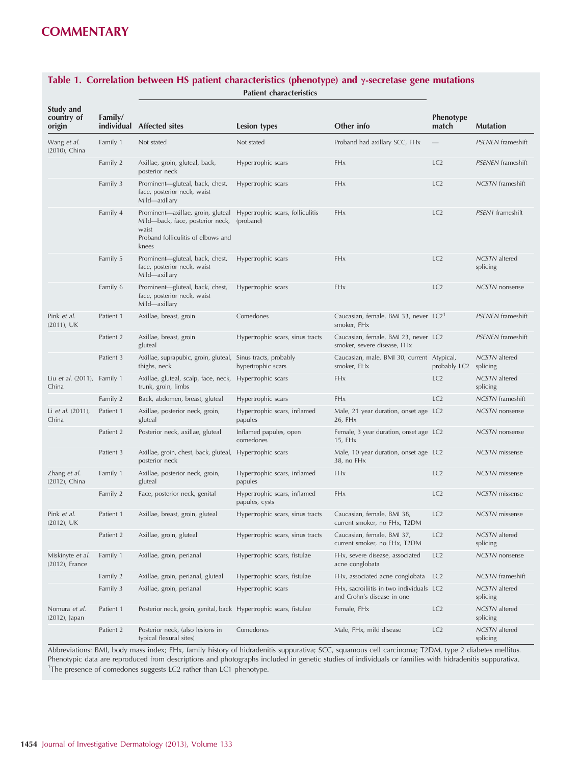| Study and<br>country of<br>origin    | Family/   | individual Affected sites                                                                                                                                      | Lesion types                                   | Other info                                                             | <b>Phenotype</b><br>match | <b>Mutation</b>           |
|--------------------------------------|-----------|----------------------------------------------------------------------------------------------------------------------------------------------------------------|------------------------------------------------|------------------------------------------------------------------------|---------------------------|---------------------------|
| Wang et al.<br>(2010), China         | Family 1  | Not stated                                                                                                                                                     | Not stated                                     | Proband had axillary SCC, FHx                                          |                           | <b>PSENEN</b> frameshift  |
|                                      | Family 2  | Axillae, groin, gluteal, back,<br>posterior neck                                                                                                               | Hypertrophic scars                             | FHx                                                                    | LC2                       | <b>PSENEN</b> frameshift  |
|                                      | Family 3  | Prominent-gluteal, back, chest,<br>face, posterior neck, waist<br>Mild—axillary                                                                                | Hypertrophic scars                             | FHx                                                                    | LC2                       | <b>NCSTN</b> frameshift   |
|                                      | Family 4  | Prominent—axillae, groin, gluteal Hypertrophic scars, folliculitis<br>Mild-back, face, posterior neck,<br>waist<br>Proband folliculitis of elbows and<br>knees | (proband)                                      | FHx                                                                    | LC2                       | PSEN1 frameshift          |
|                                      | Family 5  | Prominent-gluteal, back, chest,<br>face, posterior neck, waist<br>Mild—axillary                                                                                | Hypertrophic scars                             | FHx                                                                    | LC2                       | NCSTN altered<br>splicing |
|                                      | Family 6  | Prominent-gluteal, back, chest,<br>face, posterior neck, waist<br>Mild—axillary                                                                                | Hypertrophic scars                             | FHx                                                                    | LC2                       | <b>NCSTN</b> nonsense     |
| Pink et al.<br>$(2011)$ , UK         | Patient 1 | Axillae, breast, groin                                                                                                                                         | Comedones                                      | Caucasian, female, BMI 33, never LC2<br>smoker, FHx                    |                           | <b>PSENEN</b> frameshift  |
|                                      | Patient 2 | Axillae, breast, groin<br>gluteal                                                                                                                              | Hypertrophic scars, sinus tracts               | Caucasian, female, BMI 23, never LC2<br>smoker, severe disease, FHx    |                           | <b>PSENEN</b> frameshift  |
|                                      | Patient 3 | Axillae, suprapubic, groin, gluteal, Sinus tracts, probably<br>thighs, neck                                                                                    | hypertrophic scars                             | Caucasian, male, BMI 30, current Atypical,<br>smoker, FHx              | probably LC2              | NCSTN altered<br>splicing |
| Liu et al. (2011), Family 1<br>China |           | Axillae, gluteal, scalp, face, neck, Hypertrophic scars<br>trunk, groin, limbs                                                                                 |                                                | FHx                                                                    | LC2                       | NCSTN altered<br>splicing |
|                                      | Family 2  | Back, abdomen, breast, gluteal                                                                                                                                 | Hypertrophic scars                             | FHx                                                                    | LC2                       | <b>NCSTN</b> frameshift   |
| Li et al. (2011),<br>China           | Patient 1 | Axillae, posterior neck, groin,<br>gluteal                                                                                                                     | Hypertrophic scars, inflamed<br>papules        | Male, 21 year duration, onset age LC2<br>26, FH <sub>x</sub>           |                           | NCSTN nonsense            |
|                                      | Patient 2 | Posterior neck, axillae, gluteal                                                                                                                               | Inflamed papules, open<br>comedones            | Female, 3 year duration, onset age LC2<br>15, FH <sub>x</sub>          |                           | NCSTN nonsense            |
|                                      | Patient 3 | Axillae, groin, chest, back, gluteal, Hypertrophic scars<br>posterior neck                                                                                     |                                                | Male, 10 year duration, onset age LC2<br>38, no FHx                    |                           | NCSTN missense            |
| Zhang et al.<br>(2012), China        | Family 1  | Axillae, posterior neck, groin,<br>gluteal                                                                                                                     | Hypertrophic scars, inflamed<br>papules        | FHx                                                                    | LC2                       | <b>NCSTN</b> missense     |
|                                      | Family 2  | Face, posterior neck, genital                                                                                                                                  | Hypertrophic scars, inflamed<br>papules, cysts | FHx                                                                    | LC2                       | <b>NCSTN</b> missense     |
| Pink et al.<br>$(2012)$ , UK         | Patient 1 | Axillae, breast, groin, gluteal                                                                                                                                | Hypertrophic scars, sinus tracts               | Caucasian, female, BMI 38,<br>current smoker, no FHx, T2DM             | LC2                       | <b>NCSTN</b> missense     |
|                                      | Patient 2 | Axillae, groin, gluteal                                                                                                                                        | Hypertrophic scars, sinus tracts               | Caucasian, female, BMI 37,<br>current smoker, no FHx, T2DM             | LC2                       | NCSTN altered<br>splicing |
| Miskinyte et al.<br>(2012), France   | Family 1  | Axillae, groin, perianal                                                                                                                                       | Hypertrophic scars, fistulae                   | FHx, severe disease, associated<br>acne conglobata                     | LC <sub>2</sub>           | <b>NCSTN</b> nonsense     |
|                                      | Family 2  | Axillae, groin, perianal, gluteal                                                                                                                              | Hypertrophic scars, fistulae                   | FHx, associated acne conglobata                                        | LC <sub>2</sub>           | <b>NCSTN</b> frameshift   |
|                                      | Family 3  | Axillae, groin, perianal                                                                                                                                       | Hypertrophic scars                             | FHx, sacroiliitis in two individuals LC2<br>and Crohn's disease in one |                           | NCSTN altered<br>splicing |
| Nomura et al.<br>(2012), Japan       | Patient 1 | Posterior neck, groin, genital, back Hypertrophic scars, fistulae                                                                                              |                                                | Female, FHx                                                            | LC2                       | NCSTN altered<br>splicing |
|                                      | Patient 2 | Posterior neck, (also lesions in<br>typical flexural sites)                                                                                                    | Comedones                                      | Male, FHx, mild disease                                                | LC <sub>2</sub>           | NCSTN altered<br>splicing |

#### Table 1. Correlation between HS patient characteristics (phenotype) and  $\gamma$ -secretase gene mutations Patient characteristics

Abbreviations: BMI, body mass index; FHx, family history of hidradenitis suppurativa; SCC, squamous cell carcinoma; T2DM, type 2 diabetes mellitus. Phenotypic data are reproduced from descriptions and photographs included in genetic studies of individuals or families with hidradenitis suppurativa. <sup>1</sup>The presence of comedones suggests LC2 rather than LC1 phenotype.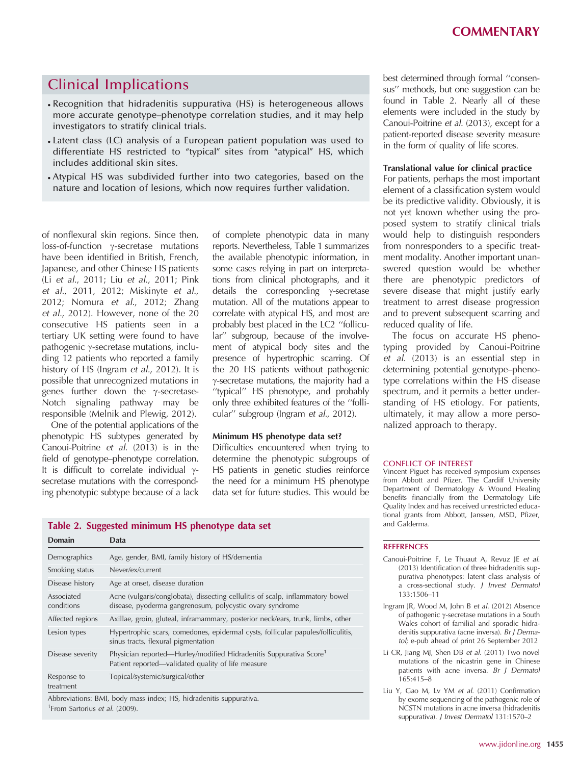### Clinical Implications

- Recognition that hidradenitis suppurativa (HS) is heterogeneous allows more accurate genotype–phenotype correlation studies, and it may help investigators to stratify clinical trials.
- Latent class (LC) analysis of a European patient population was used to differentiate HS restricted to "typical" sites from "atypical" HS, which includes additional skin sites.
- Atypical HS was subdivided further into two categories, based on the nature and location of lesions, which now requires further validation.

of nonflexural skin regions. Since then,  $loss-of-function$   $\gamma$ -secretase mutations have been identified in British, French, Japanese, and other Chinese HS patients (Li et al., 2011; Liu et al., 2011; Pink et al., 2011, 2012; Miskinyte et al., 2012; Nomura et al., 2012; Zhang et al., 2012). However, none of the 20 consecutive HS patients seen in a tertiary UK setting were found to have pathogenic  $\gamma$ -secretase mutations, including 12 patients who reported a family history of HS (Ingram *et al.*, 2012). It is possible that unrecognized mutations in genes further down the  $\gamma$ -secretase-Notch signaling pathway may be responsible (Melnik and Plewig, 2012).

One of the potential applications of the phenotypic HS subtypes generated by Canoui-Poitrine et al. (2013) is in the field of genotype–phenotype correlation. It is difficult to correlate individual  $\gamma$ secretase mutations with the corresponding phenotypic subtype because of a lack

of complete phenotypic data in many reports. Nevertheless, Table 1 summarizes the available phenotypic information, in some cases relying in part on interpretations from clinical photographs, and it details the corresponding  $\gamma$ -secretase mutation. All of the mutations appear to correlate with atypical HS, and most are probably best placed in the LC2 ''follicular'' subgroup, because of the involvement of atypical body sites and the presence of hypertrophic scarring. Of the 20 HS patients without pathogenic  $\gamma$ -secretase mutations, the majority had a "typical" HS phenotype, and probably only three exhibited features of the ''follicular'' subgroup (Ingram et al., 2012).

#### Minimum HS phenotype data set?

Difficulties encountered when trying to determine the phenotypic subgroups of HS patients in genetic studies reinforce the need for a minimum HS phenotype data set for future studies. This would be best determined through formal ''consensus'' methods, but one suggestion can be found in Table 2. Nearly all of these elements were included in the study by Canoui-Poitrine et al. (2013), except for a patient-reported disease severity measure in the form of quality of life scores.

#### Translational value for clinical practice

For patients, perhaps the most important element of a classification system would be its predictive validity. Obviously, it is not yet known whether using the proposed system to stratify clinical trials would help to distinguish responders from nonresponders to a specific treatment modality. Another important unanswered question would be whether there are phenotypic predictors of severe disease that might justify early treatment to arrest disease progression and to prevent subsequent scarring and reduced quality of life.

The focus on accurate HS phenotyping provided by Canoui-Poitrine et al. (2013) is an essential step in determining potential genotype–phenotype correlations within the HS disease spectrum, and it permits a better understanding of HS etiology. For patients, ultimately, it may allow a more personalized approach to therapy.

#### CONFLICT OF INTEREST

Vincent Piguet has received symposium expenses from Abbott and Pfizer. The Cardiff University Department of Dermatology & Wound Healing benefits financially from the Dermatology Life Quality Index and has received unrestricted educational grants from Abbott, Janssen, MSD, Pfizer, and Galderma.

|        |      |  | Table 2. Suggested minimum HS phenotype data set |  |
|--------|------|--|--------------------------------------------------|--|
| Domain | Data |  |                                                  |  |

| Demographics                                                       | Age, gender, BMI, family history of HS/dementia                                                                                            |  |  |  |
|--------------------------------------------------------------------|--------------------------------------------------------------------------------------------------------------------------------------------|--|--|--|
| Smoking status                                                     | Never/ex/current                                                                                                                           |  |  |  |
| Disease history                                                    | Age at onset, disease duration                                                                                                             |  |  |  |
| Associated<br>conditions                                           | Acne (vulgaris/conglobata), dissecting cellulitis of scalp, inflammatory bowel<br>disease, pyoderma gangrenosum, polycystic ovary syndrome |  |  |  |
| Affected regions                                                   | Axillae, groin, gluteal, inframammary, posterior neck/ears, trunk, limbs, other                                                            |  |  |  |
| Lesion types                                                       | Hypertrophic scars, comedones, epidermal cysts, follicular papules/folliculitis,<br>sinus tracts, flexural pigmentation                    |  |  |  |
| Disease severity                                                   | Physician reported—Hurley/modified Hidradenitis Suppurativa Score <sup>1</sup><br>Patient reported—validated quality of life measure       |  |  |  |
| Response to<br>treatment                                           | Topical/systemic/surgical/other                                                                                                            |  |  |  |
| Abbreviations: BMI, body mass index; HS, hidradenitis suppurativa. |                                                                                                                                            |  |  |  |

<sup>1</sup> From Sartorius et al. (2009).

#### **REFERENCES**

- Canoui-Poitrine F, Le Thuaut A, Revuz JE et al. (2013) Identification of three hidradenitis suppurativa phenotypes: latent class analysis of a cross-sectional study. J Invest Dermatol 133:1506–11
- Ingram JR, Wood M, John B et al. (2012) Absence of pathogenic g-secretase mutations in a South Wales cohort of familial and sporadic hidradenitis suppurativa (acne inversa). Br J Dermatol; e-pub ahead of print 26 September 2012
- Li CR, Jiang MJ, Shen DB et al. (2011) Two novel mutations of the nicastrin gene in Chinese patients with acne inversa. Br J Dermatol 165:415–8
- Liu Y, Gao M, Lv YM et al. (2011) Confirmation by exome sequencing of the pathogenic role of NCSTN mutations in acne inversa (hidradenitis suppurativa). J Invest Dermatol 131:1570-2